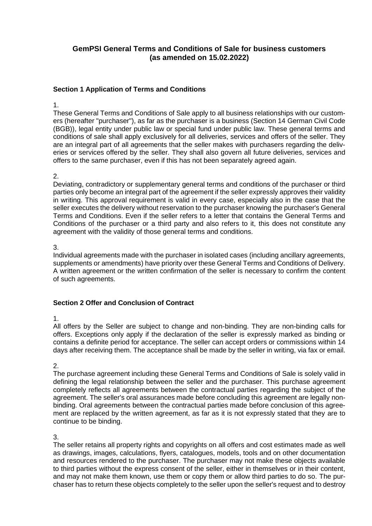# **GemPSI General Terms and Conditions of Sale for business customers (as amended on 15.02.2022)**

### **Section 1 Application of Terms and Conditions**

#### 1.

These General Terms and Conditions of Sale apply to all business relationships with our customers (hereafter "purchaser"), as far as the purchaser is a business (Section 14 German Civil Code (BGB)), legal entity under public law or special fund under public law. These general terms and conditions of sale shall apply exclusively for all deliveries, services and offers of the seller. They are an integral part of all agreements that the seller makes with purchasers regarding the deliveries or services offered by the seller. They shall also govern all future deliveries, services and offers to the same purchaser, even if this has not been separately agreed again.

#### $\mathcal{P}$

Deviating, contradictory or supplementary general terms and conditions of the purchaser or third parties only become an integral part of the agreement if the seller expressly approves their validity in writing. This approval requirement is valid in every case, especially also in the case that the seller executes the delivery without reservation to the purchaser knowing the purchaser's General Terms and Conditions. Even if the seller refers to a letter that contains the General Terms and Conditions of the purchaser or a third party and also refers to it, this does not constitute any agreement with the validity of those general terms and conditions.

### 3.

Individual agreements made with the purchaser in isolated cases (including ancillary agreements, supplements or amendments) have priority over these General Terms and Conditions of Delivery. A written agreement or the written confirmation of the seller is necessary to confirm the content of such agreements.

### **Section 2 Offer and Conclusion of Contract**

### 1.

All offers by the Seller are subject to change and non-binding. They are non-binding calls for offers. Exceptions only apply if the declaration of the seller is expressly marked as binding or contains a definite period for acceptance. The seller can accept orders or commissions within 14 days after receiving them. The acceptance shall be made by the seller in writing, via fax or email.

# 2.

The purchase agreement including these General Terms and Conditions of Sale is solely valid in defining the legal relationship between the seller and the purchaser. This purchase agreement completely reflects all agreements between the contractual parties regarding the subject of the agreement. The seller's oral assurances made before concluding this agreement are legally nonbinding. Oral agreements between the contractual parties made before conclusion of this agreement are replaced by the written agreement, as far as it is not expressly stated that they are to continue to be binding.

### 3.

The seller retains all property rights and copyrights on all offers and cost estimates made as well as drawings, images, calculations, flyers, catalogues, models, tools and on other documentation and resources rendered to the purchaser. The purchaser may not make these objects available to third parties without the express consent of the seller, either in themselves or in their content, and may not make them known, use them or copy them or allow third parties to do so. The purchaser has to return these objects completely to the seller upon the seller's request and to destroy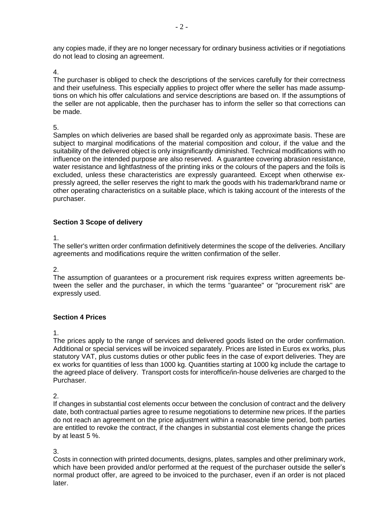any copies made, if they are no longer necessary for ordinary business activities or if negotiations do not lead to closing an agreement.

4.

The purchaser is obliged to check the descriptions of the services carefully for their correctness and their usefulness. This especially applies to project offer where the seller has made assumptions on which his offer calculations and service descriptions are based on. If the assumptions of the seller are not applicable, then the purchaser has to inform the seller so that corrections can be made.

5.

Samples on which deliveries are based shall be regarded only as approximate basis. These are subject to marginal modifications of the material composition and colour, if the value and the suitability of the delivered object is only insignificantly diminished. Technical modifications with no influence on the intended purpose are also reserved. A guarantee covering abrasion resistance, water resistance and lightfastness of the printing inks or the colours of the papers and the foils is excluded, unless these characteristics are expressly guaranteed. Except when otherwise expressly agreed, the seller reserves the right to mark the goods with his trademark/brand name or other operating characteristics on a suitable place, which is taking account of the interests of the purchaser.

### **Section 3 Scope of delivery**

1.

The seller's written order confirmation definitively determines the scope of the deliveries. Ancillary agreements and modifications require the written confirmation of the seller.

2.

The assumption of guarantees or a procurement risk requires express written agreements between the seller and the purchaser, in which the terms "guarantee" or "procurement risk" are expressly used.

### **Section 4 Prices**

1.

The prices apply to the range of services and delivered goods listed on the order confirmation. Additional or special services will be invoiced separately. Prices are listed in Euros ex works, plus statutory VAT, plus customs duties or other public fees in the case of export deliveries. They are ex works for quantities of less than 1000 kg. Quantities starting at 1000 kg include the cartage to the agreed place of delivery. Transport costs for interoffice/in-house deliveries are charged to the Purchaser.

2.

If changes in substantial cost elements occur between the conclusion of contract and the delivery date, both contractual parties agree to resume negotiations to determine new prices. If the parties do not reach an agreement on the price adjustment within a reasonable time period, both parties are entitled to revoke the contract, if the changes in substantial cost elements change the prices by at least 5 %.

3.

Costs in connection with printed documents, designs, plates, samples and other preliminary work, which have been provided and/or performed at the request of the purchaser outside the seller's normal product offer, are agreed to be invoiced to the purchaser, even if an order is not placed later.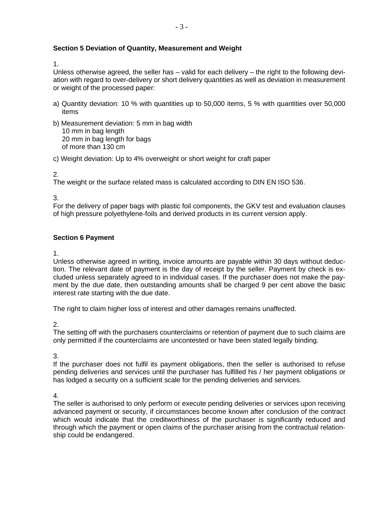### **Section 5 Deviation of Quantity, Measurement and Weight**

1.

Unless otherwise agreed, the seller has – valid for each delivery – the right to the following deviation with regard to over-delivery or short delivery quantities as well as deviation in measurement or weight of the processed paper:

- a) Quantity deviation: 10 % with quantities up to 50,000 items, 5 % with quantities over 50,000 items
- b) Measurement deviation: 5 mm in bag width 10 mm in bag length 20 mm in bag length for bags of more than 130 cm

c) Weight deviation: Up to 4% overweight or short weight for craft paper

 $\mathcal{P}$ 

The weight or the surface related mass is calculated according to DIN EN ISO 536.

3.

For the delivery of paper bags with plastic foil components, the GKV test and evaluation clauses of high pressure polyethylene-foils and derived products in its current version apply.

### **Section 6 Payment**

1.

Unless otherwise agreed in writing, invoice amounts are payable within 30 days without deduction. The relevant date of payment is the day of receipt by the seller. Payment by check is excluded unless separately agreed to in individual cases. If the purchaser does not make the payment by the due date, then outstanding amounts shall be charged 9 per cent above the basic interest rate starting with the due date.

The right to claim higher loss of interest and other damages remains unaffected.

2.

The setting off with the purchasers counterclaims or retention of payment due to such claims are only permitted if the counterclaims are uncontested or have been stated legally binding.

3.

If the purchaser does not fulfil its payment obligations, then the seller is authorised to refuse pending deliveries and services until the purchaser has fulfilled his / her payment obligations or has lodged a security on a sufficient scale for the pending deliveries and services.

4.

The seller is authorised to only perform or execute pending deliveries or services upon receiving advanced payment or security, if circumstances become known after conclusion of the contract which would indicate that the creditworthiness of the purchaser is significantly reduced and through which the payment or open claims of the purchaser arising from the contractual relationship could be endangered.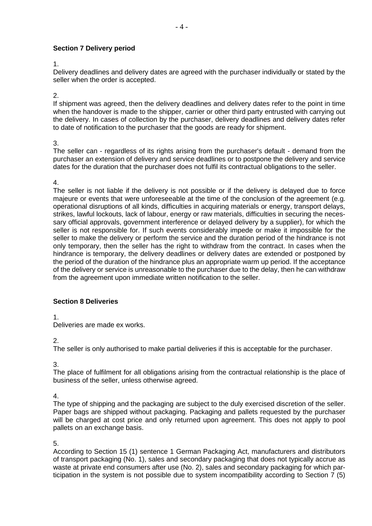# **Section 7 Delivery period**

#### 1.

Delivery deadlines and delivery dates are agreed with the purchaser individually or stated by the seller when the order is accepted.

2.

If shipment was agreed, then the delivery deadlines and delivery dates refer to the point in time when the handover is made to the shipper, carrier or other third party entrusted with carrying out the delivery. In cases of collection by the purchaser, delivery deadlines and delivery dates refer to date of notification to the purchaser that the goods are ready for shipment.

3.

The seller can - regardless of its rights arising from the purchaser's default - demand from the purchaser an extension of delivery and service deadlines or to postpone the delivery and service dates for the duration that the purchaser does not fulfil its contractual obligations to the seller.

#### 4.

The seller is not liable if the delivery is not possible or if the delivery is delayed due to force majeure or events that were unforeseeable at the time of the conclusion of the agreement (e.g. operational disruptions of all kinds, difficulties in acquiring materials or energy, transport delays, strikes, lawful lockouts, lack of labour, energy or raw materials, difficulties in securing the necessary official approvals, government interference or delayed delivery by a supplier), for which the seller is not responsible for. If such events considerably impede or make it impossible for the seller to make the delivery or perform the service and the duration period of the hindrance is not only temporary, then the seller has the right to withdraw from the contract. In cases when the hindrance is temporary, the delivery deadlines or delivery dates are extended or postponed by the period of the duration of the hindrance plus an appropriate warm up period. If the acceptance of the delivery or service is unreasonable to the purchaser due to the delay, then he can withdraw from the agreement upon immediate written notification to the seller.

### **Section 8 Deliveries**

1.

Deliveries are made ex works.

2.

The seller is only authorised to make partial deliveries if this is acceptable for the purchaser.

3.

The place of fulfilment for all obligations arising from the contractual relationship is the place of business of the seller, unless otherwise agreed.

4.

The type of shipping and the packaging are subject to the duly exercised discretion of the seller. Paper bags are shipped without packaging. Packaging and pallets requested by the purchaser will be charged at cost price and only returned upon agreement. This does not apply to pool pallets on an exchange basis.

5.

According to Section 15 (1) sentence 1 German Packaging Act, manufacturers and distributors of transport packaging (No. 1), sales and secondary packaging that does not typically accrue as waste at private end consumers after use (No. 2), sales and secondary packaging for which participation in the system is not possible due to system incompatibility according to Section 7 (5)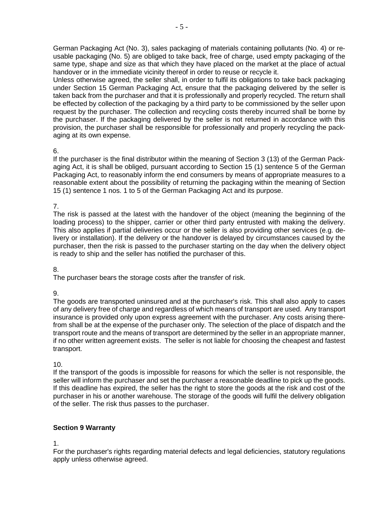German Packaging Act (No. 3), sales packaging of materials containing pollutants (No. 4) or reusable packaging (No. 5) are obliged to take back, free of charge, used empty packaging of the same type, shape and size as that which they have placed on the market at the place of actual handover or in the immediate vicinity thereof in order to reuse or recycle it.

Unless otherwise agreed, the seller shall, in order to fulfil its obligations to take back packaging under Section 15 German Packaging Act, ensure that the packaging delivered by the seller is taken back from the purchaser and that it is professionally and properly recycled. The return shall be effected by collection of the packaging by a third party to be commissioned by the seller upon request by the purchaser. The collection and recycling costs thereby incurred shall be borne by the purchaser. If the packaging delivered by the seller is not returned in accordance with this provision, the purchaser shall be responsible for professionally and properly recycling the packaging at its own expense.

#### 6.

If the purchaser is the final distributor within the meaning of Section 3 (13) of the German Packaging Act, it is shall be obliged, pursuant according to Section 15 (1) sentence 5 of the German Packaging Act, to reasonably inform the end consumers by means of appropriate measures to a reasonable extent about the possibility of returning the packaging within the meaning of Section 15 (1) sentence 1 nos. 1 to 5 of the German Packaging Act and its purpose.

### 7.

The risk is passed at the latest with the handover of the object (meaning the beginning of the loading process) to the shipper, carrier or other third party entrusted with making the delivery. This also applies if partial deliveries occur or the seller is also providing other services (e.g. delivery or installation). If the delivery or the handover is delayed by circumstances caused by the purchaser, then the risk is passed to the purchaser starting on the day when the delivery object is ready to ship and the seller has notified the purchaser of this.

### 8.

The purchaser bears the storage costs after the transfer of risk.

### 9.

The goods are transported uninsured and at the purchaser's risk. This shall also apply to cases of any delivery free of charge and regardless of which means of transport are used. Any transport insurance is provided only upon express agreement with the purchaser. Any costs arising therefrom shall be at the expense of the purchaser only. The selection of the place of dispatch and the transport route and the means of transport are determined by the seller in an appropriate manner, if no other written agreement exists. The seller is not liable for choosing the cheapest and fastest transport.

### 10.

If the transport of the goods is impossible for reasons for which the seller is not responsible, the seller will inform the purchaser and set the purchaser a reasonable deadline to pick up the goods. If this deadline has expired, the seller has the right to store the goods at the risk and cost of the purchaser in his or another warehouse. The storage of the goods will fulfil the delivery obligation of the seller. The risk thus passes to the purchaser.

### **Section 9 Warranty**

### 1.

For the purchaser's rights regarding material defects and legal deficiencies, statutory regulations apply unless otherwise agreed.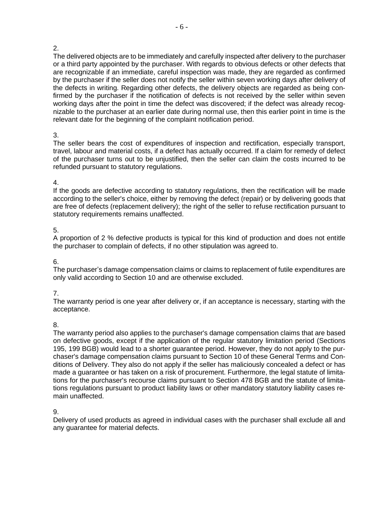### $\mathcal{P}$

The delivered objects are to be immediately and carefully inspected after delivery to the purchaser or a third party appointed by the purchaser. With regards to obvious defects or other defects that are recognizable if an immediate, careful inspection was made, they are regarded as confirmed by the purchaser if the seller does not notify the seller within seven working days after delivery of the defects in writing. Regarding other defects, the delivery objects are regarded as being confirmed by the purchaser if the notification of defects is not received by the seller within seven working days after the point in time the defect was discovered; if the defect was already recognizable to the purchaser at an earlier date during normal use, then this earlier point in time is the relevant date for the beginning of the complaint notification period.

### 3.

The seller bears the cost of expenditures of inspection and rectification, especially transport, travel, labour and material costs, if a defect has actually occurred. If a claim for remedy of defect of the purchaser turns out to be unjustified, then the seller can claim the costs incurred to be refunded pursuant to statutory regulations.

### 4.

If the goods are defective according to statutory regulations, then the rectification will be made according to the seller's choice, either by removing the defect (repair) or by delivering goods that are free of defects (replacement delivery); the right of the seller to refuse rectification pursuant to statutory requirements remains unaffected.

# 5.

A proportion of 2 % defective products is typical for this kind of production and does not entitle the purchaser to complain of defects, if no other stipulation was agreed to.

### 6.

The purchaser's damage compensation claims or claims to replacement of futile expenditures are only valid according to Section 10 and are otherwise excluded.

# 7.

The warranty period is one year after delivery or, if an acceptance is necessary, starting with the acceptance.

# 8.

The warranty period also applies to the purchaser's damage compensation claims that are based on defective goods, except if the application of the regular statutory limitation period (Sections 195, 199 BGB) would lead to a shorter guarantee period. However, they do not apply to the purchaser's damage compensation claims pursuant to Section 10 of these General Terms and Conditions of Delivery. They also do not apply if the seller has maliciously concealed a defect or has made a guarantee or has taken on a risk of procurement. Furthermore, the legal statute of limitations for the purchaser's recourse claims pursuant to Section 478 BGB and the statute of limitations regulations pursuant to product liability laws or other mandatory statutory liability cases remain unaffected.

### 9.

Delivery of used products as agreed in individual cases with the purchaser shall exclude all and any guarantee for material defects.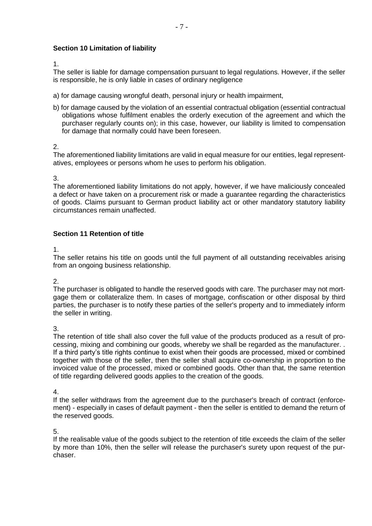# **Section 10 Limitation of liability**

1.

The seller is liable for damage compensation pursuant to legal regulations. However, if the seller is responsible, he is only liable in cases of ordinary negligence

- a) for damage causing wrongful death, personal injury or health impairment,
- b) for damage caused by the violation of an essential contractual obligation (essential contractual obligations whose fulfilment enables the orderly execution of the agreement and which the purchaser regularly counts on); in this case, however, our liability is limited to compensation for damage that normally could have been foreseen.

### 2.

The aforementioned liability limitations are valid in equal measure for our entities, legal representatives, employees or persons whom he uses to perform his obligation.

3.

The aforementioned liability limitations do not apply, however, if we have maliciously concealed a defect or have taken on a procurement risk or made a guarantee regarding the characteristics of goods. Claims pursuant to German product liability act or other mandatory statutory liability circumstances remain unaffected.

### **Section 11 Retention of title**

1.

The seller retains his title on goods until the full payment of all outstanding receivables arising from an ongoing business relationship.

2.

The purchaser is obligated to handle the reserved goods with care. The purchaser may not mortgage them or collateralize them. In cases of mortgage, confiscation or other disposal by third parties, the purchaser is to notify these parties of the seller's property and to immediately inform the seller in writing.

3.

The retention of title shall also cover the full value of the products produced as a result of processing, mixing and combining our goods, whereby we shall be regarded as the manufacturer. . If a third party's title rights continue to exist when their goods are processed, mixed or combined together with those of the seller, then the seller shall acquire co-ownership in proportion to the invoiced value of the processed, mixed or combined goods. Other than that, the same retention of title regarding delivered goods applies to the creation of the goods.

4.

If the seller withdraws from the agreement due to the purchaser's breach of contract (enforcement) - especially in cases of default payment - then the seller is entitled to demand the return of the reserved goods.

5.

If the realisable value of the goods subject to the retention of title exceeds the claim of the seller by more than 10%, then the seller will release the purchaser's surety upon request of the purchaser.